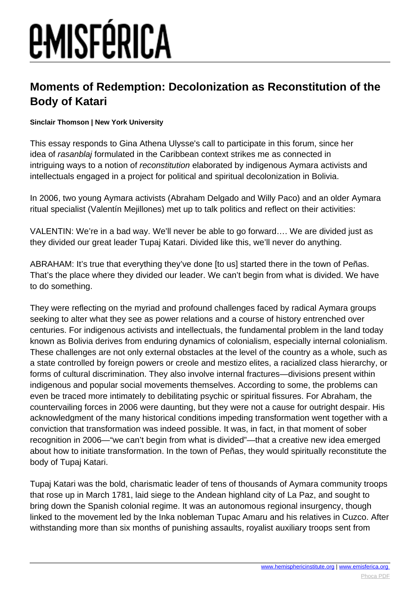# *EMISFÉRICA*

#### **Moments of Redemption: Decolonization as Reconstitution of the Body of Katari**

#### **Sinclair Thomson | New York University**

This essay responds to Gina Athena Ulysse's call to participate in this forum, since her idea of rasanblaj formulated in the Caribbean context strikes me as connected in intriguing ways to a notion of reconstitution elaborated by indigenous Aymara activists and intellectuals engaged in a project for political and spiritual decolonization in Bolivia.

In 2006, two young Aymara activists (Abraham Delgado and Willy Paco) and an older Aymara ritual specialist (Valentín Mejillones) met up to talk politics and reflect on their activities:

VALENTIN: We're in a bad way. We'll never be able to go forward…. We are divided just as they divided our great leader Tupaj Katari. Divided like this, we'll never do anything.

ABRAHAM: It's true that everything they've done [to us] started there in the town of Peñas. That's the place where they divided our leader. We can't begin from what is divided. We have to do something.

They were reflecting on the myriad and profound challenges faced by radical Aymara groups seeking to alter what they see as power relations and a course of history entrenched over centuries. For indigenous activists and intellectuals, the fundamental problem in the land today known as Bolivia derives from enduring dynamics of colonialism, especially internal colonialism. These challenges are not only external obstacles at the level of the country as a whole, such as a state controlled by foreign powers or creole and mestizo elites, a racialized class hierarchy, or forms of cultural discrimination. They also involve internal fractures—divisions present within indigenous and popular social movements themselves. According to some, the problems can even be traced more intimately to debilitating psychic or spiritual fissures. For Abraham, the countervailing forces in 2006 were daunting, but they were not a cause for outright despair. His acknowledgment of the many historical conditions impeding transformation went together with a conviction that transformation was indeed possible. It was, in fact, in that moment of sober recognition in 2006—"we can't begin from what is divided"—that a creative new idea emerged about how to initiate transformation. In the town of Peñas, they would spiritually reconstitute the body of Tupaj Katari.

Tupaj Katari was the bold, charismatic leader of tens of thousands of Aymara community troops that rose up in March 1781, laid siege to the Andean highland city of La Paz, and sought to bring down the Spanish colonial regime. It was an autonomous regional insurgency, though linked to the movement led by the Inka nobleman Tupac Amaru and his relatives in Cuzco. After withstanding more than six months of punishing assaults, royalist auxiliary troops sent from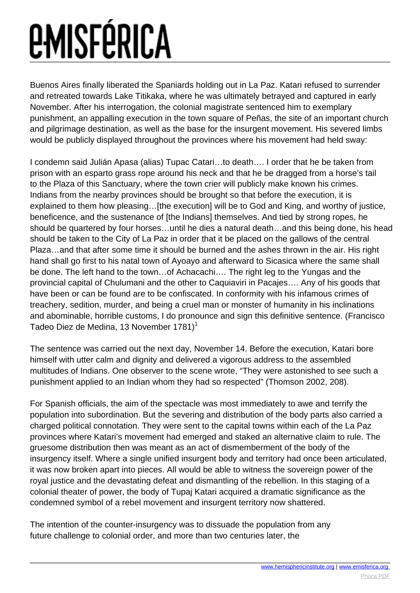Buenos Aires finally liberated the Spaniards holding out in La Paz. Katari refused to surrender and retreated towards Lake Titikaka, where he was ultimately betrayed and captured in early November. After his interrogation, the colonial magistrate sentenced him to exemplary punishment, an appalling execution in the town square of Peñas, the site of an important church and pilgrimage destination, as well as the base for the insurgent movement. His severed limbs would be publicly displayed throughout the provinces where his movement had held sway:

I condemn said Julián Apasa (alias) Tupac Catari…to death…. I order that he be taken from prison with an esparto grass rope around his neck and that he be dragged from a horse's tail to the Plaza of this Sanctuary, where the town crier will publicly make known his crimes. Indians from the nearby provinces should be brought so that before the execution, it is explained to them how pleasing... [the execution] will be to God and King, and worthy of justice, beneficence, and the sustenance of [the Indians] themselves. And tied by strong ropes, he should be quartered by four horses…until he dies a natural death…and this being done, his head should be taken to the City of La Paz in order that it be placed on the gallows of the central Plaza…and that after some time it should be burned and the ashes thrown in the air. His right hand shall go first to his natal town of Ayoayo and afterward to Sicasica where the same shall be done. The left hand to the town…of Achacachi…. The right leg to the Yungas and the provincial capital of Chulumani and the other to Caquiaviri in Pacajes…. Any of his goods that have been or can be found are to be confiscated. In conformity with his infamous crimes of treachery, sedition, murder, and being a cruel man or monster of humanity in his inclinations and abominable, horrible customs, I do pronounce and sign this definitive sentence. (Francisco Tadeo Diez de Medina, 13 November 1781)<sup>1</sup>

The sentence was carried out the next day, November 14. Before the execution, Katari bore himself with utter calm and dignity and delivered a vigorous address to the assembled multitudes of Indians. One observer to the scene wrote, "They were astonished to see such a punishment applied to an Indian whom they had so respected" (Thomson 2002, 208).

For Spanish officials, the aim of the spectacle was most immediately to awe and terrify the population into subordination. But the severing and distribution of the body parts also carried a charged political connotation. They were sent to the capital towns within each of the La Paz provinces where Katari's movement had emerged and staked an alternative claim to rule. The gruesome distribution then was meant as an act of dismemberment of the body of the insurgency itself. Where a single unified insurgent body and territory had once been articulated, it was now broken apart into pieces. All would be able to witness the sovereign power of the royal justice and the devastating defeat and dismantling of the rebellion. In this staging of a colonial theater of power, the body of Tupaj Katari acquired a dramatic significance as the condemned symbol of a rebel movement and insurgent territory now shattered.

The intention of the counter-insurgency was to dissuade the population from any future challenge to colonial order, and more than two centuries later, the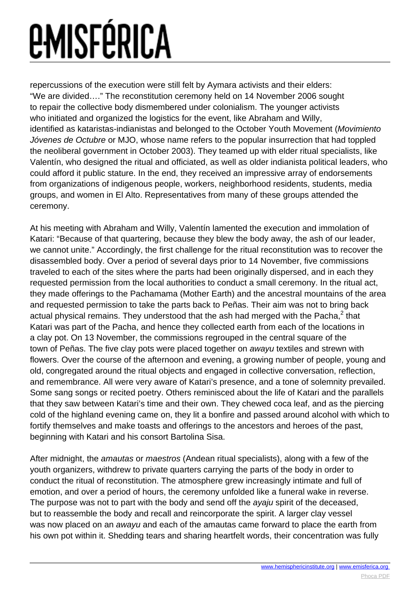repercussions of the execution were still felt by Aymara activists and their elders: "We are divided…." The reconstitution ceremony held on 14 November 2006 sought to repair the collective body dismembered under colonialism. The younger activists who initiated and organized the logistics for the event, like Abraham and Willy, identified as kataristas-indianistas and belonged to the October Youth Movement (Movimiento Jóvenes de Octubre or MJO, whose name refers to the popular insurrection that had toppled the neoliberal government in October 2003). They teamed up with elder ritual specialists, like Valentín, who designed the ritual and officiated, as well as older indianista political leaders, who could afford it public stature. In the end, they received an impressive array of endorsements from organizations of indigenous people, workers, neighborhood residents, students, media groups, and women in El Alto. Representatives from many of these groups attended the ceremony.

At his meeting with Abraham and Willy, Valentín lamented the execution and immolation of Katari: "Because of that quartering, because they blew the body away, the ash of our leader, we cannot unite." Accordingly, the first challenge for the ritual reconstitution was to recover the disassembled body. Over a period of several days prior to 14 November, five commissions traveled to each of the sites where the parts had been originally dispersed, and in each they requested permission from the local authorities to conduct a small ceremony. In the ritual act, they made offerings to the Pachamama (Mother Earth) and the ancestral mountains of the area and requested permission to take the parts back to Peñas. Their aim was not to bring back actual physical remains. They understood that the ash had merged with the Pacha, $^2$  that Katari was part of the Pacha, and hence they collected earth from each of the locations in a clay pot. On 13 November, the commissions regrouped in the central square of the town of Peñas. The five clay pots were placed together on awayu textiles and strewn with flowers. Over the course of the afternoon and evening, a growing number of people, young and old, congregated around the ritual objects and engaged in collective conversation, reflection, and remembrance. All were very aware of Katari's presence, and a tone of solemnity prevailed. Some sang songs or recited poetry. Others reminisced about the life of Katari and the parallels that they saw between Katari's time and their own. They chewed coca leaf, and as the piercing cold of the highland evening came on, they lit a bonfire and passed around alcohol with which to fortify themselves and make toasts and offerings to the ancestors and heroes of the past, beginning with Katari and his consort Bartolina Sisa.

After midnight, the amautas or maestros (Andean ritual specialists), along with a few of the youth organizers, withdrew to private quarters carrying the parts of the body in order to conduct the ritual of reconstitution. The atmosphere grew increasingly intimate and full of emotion, and over a period of hours, the ceremony unfolded like a funeral wake in reverse. The purpose was not to part with the body and send off the *ayaju* spirit of the deceased, but to reassemble the body and recall and reincorporate the spirit. A larger clay vessel was now placed on an awayu and each of the amautas came forward to place the earth from his own pot within it. Shedding tears and sharing heartfelt words, their concentration was fully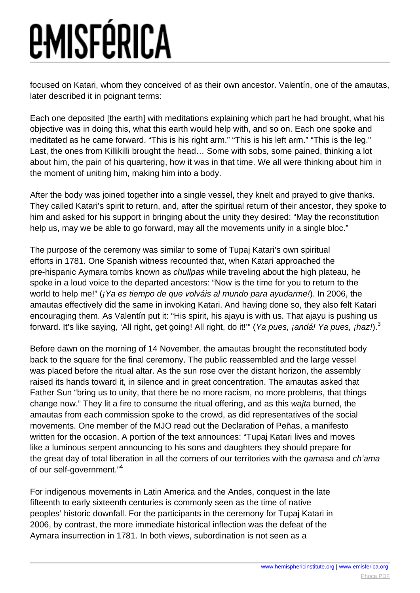focused on Katari, whom they conceived of as their own ancestor. Valentín, one of the amautas, later described it in poignant terms:

Each one deposited [the earth] with meditations explaining which part he had brought, what his objective was in doing this, what this earth would help with, and so on. Each one spoke and meditated as he came forward. "This is his right arm." "This is his left arm." "This is the leg." Last, the ones from Killikilli brought the head… Some with sobs, some pained, thinking a lot about him, the pain of his quartering, how it was in that time. We all were thinking about him in the moment of uniting him, making him into a body.

After the body was joined together into a single vessel, they knelt and prayed to give thanks. They called Katari's spirit to return, and, after the spiritual return of their ancestor, they spoke to him and asked for his support in bringing about the unity they desired: "May the reconstitution help us, may we be able to go forward, may all the movements unify in a single bloc."

The purpose of the ceremony was similar to some of Tupaj Katari's own spiritual efforts in 1781. One Spanish witness recounted that, when Katari approached the pre-hispanic Aymara tombs known as chullpas while traveling about the high plateau, he spoke in a loud voice to the departed ancestors: "Now is the time for you to return to the world to help me!" (*¡Ya es tiempo de que volváis al mundo para ayudarme!*). In 2006, the amautas effectively did the same in invoking Katari. And having done so, they also felt Katari encouraging them. As Valentín put it: "His spirit, his ajayu is with us. That ajayu is pushing us forward. It's like saying, 'All right, get going! All right, do it!"" (Ya pues, jandá! Ya pues, jhaz!).<sup>3</sup>

Before dawn on the morning of 14 November, the amautas brought the reconstituted body back to the square for the final ceremony. The public reassembled and the large vessel was placed before the ritual altar. As the sun rose over the distant horizon, the assembly raised its hands toward it, in silence and in great concentration. The amautas asked that Father Sun "bring us to unity, that there be no more racism, no more problems, that things change now." They lit a fire to consume the ritual offering, and as this wajta burned, the amautas from each commission spoke to the crowd, as did representatives of the social movements. One member of the MJO read out the Declaration of Peñas, a manifesto written for the occasion. A portion of the text announces: "Tupaj Katari lives and moves like a luminous serpent announcing to his sons and daughters they should prepare for the great day of total liberation in all the corners of our territories with the qamasa and ch'ama of our self-government."<sup>4</sup>

For indigenous movements in Latin America and the Andes, conquest in the late fifteenth to early sixteenth centuries is commonly seen as the time of native peoples' historic downfall. For the participants in the ceremony for Tupaj Katari in 2006, by contrast, the more immediate historical inflection was the defeat of the Aymara insurrection in 1781. In both views, subordination is not seen as a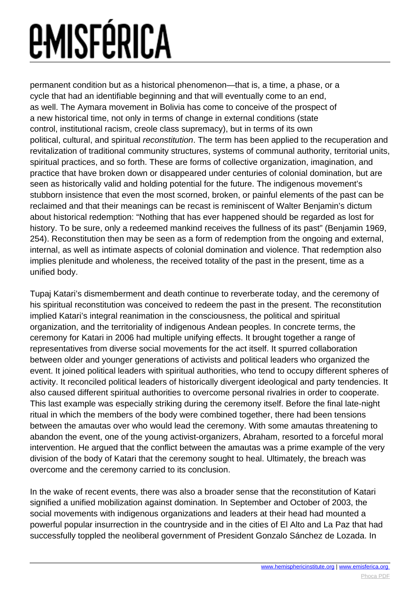## *EMISFÉRICA*

permanent condition but as a historical phenomenon—that is, a time, a phase, or a cycle that had an identifiable beginning and that will eventually come to an end, as well. The Aymara movement in Bolivia has come to conceive of the prospect of a new historical time, not only in terms of change in external conditions (state control, institutional racism, creole class supremacy), but in terms of its own political, cultural, and spiritual reconstitution. The term has been applied to the recuperation and revitalization of traditional community structures, systems of communal authority, territorial units, spiritual practices, and so forth. These are forms of collective organization, imagination, and practice that have broken down or disappeared under centuries of colonial domination, but are seen as historically valid and holding potential for the future. The indigenous movement's stubborn insistence that even the most scorned, broken, or painful elements of the past can be reclaimed and that their meanings can be recast is reminiscent of Walter Benjamin's dictum about historical redemption: "Nothing that has ever happened should be regarded as lost for history. To be sure, only a redeemed mankind receives the fullness of its past" (Benjamin 1969, 254). Reconstitution then may be seen as a form of redemption from the ongoing and external, internal, as well as intimate aspects of colonial domination and violence. That redemption also implies plenitude and wholeness, the received totality of the past in the present, time as a unified body.

Tupaj Katari's dismemberment and death continue to reverberate today, and the ceremony of his spiritual reconstitution was conceived to redeem the past in the present. The reconstitution implied Katari's integral reanimation in the consciousness, the political and spiritual organization, and the territoriality of indigenous Andean peoples. In concrete terms, the ceremony for Katari in 2006 had multiple unifying effects. It brought together a range of representatives from diverse social movements for the act itself. It spurred collaboration between older and younger generations of activists and political leaders who organized the event. It joined political leaders with spiritual authorities, who tend to occupy different spheres of activity. It reconciled political leaders of historically divergent ideological and party tendencies. It also caused different spiritual authorities to overcome personal rivalries in order to cooperate. This last example was especially striking during the ceremony itself. Before the final late-night ritual in which the members of the body were combined together, there had been tensions between the amautas over who would lead the ceremony. With some amautas threatening to abandon the event, one of the young activist-organizers, Abraham, resorted to a forceful moral intervention. He argued that the conflict between the amautas was a prime example of the very division of the body of Katari that the ceremony sought to heal. Ultimately, the breach was overcome and the ceremony carried to its conclusion.

In the wake of recent events, there was also a broader sense that the reconstitution of Katari signified a unified mobilization against domination. In September and October of 2003, the social movements with indigenous organizations and leaders at their head had mounted a powerful popular insurrection in the countryside and in the cities of El Alto and La Paz that had successfully toppled the neoliberal government of President Gonzalo Sánchez de Lozada. In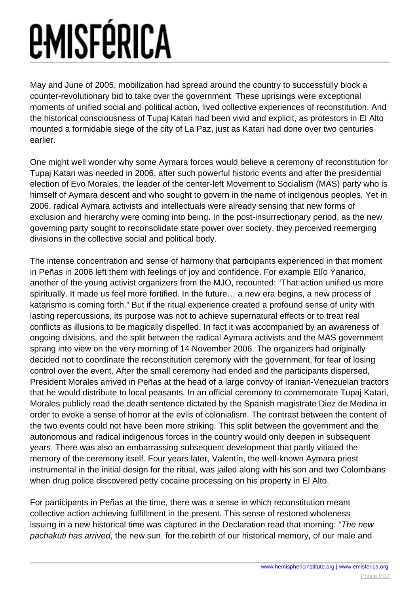May and June of 2005, mobilization had spread around the country to successfully block a counter-revolutionary bid to take over the government. These uprisings were exceptional moments of unified social and political action, lived collective experiences of reconstitution. And the historical consciousness of Tupaj Katari had been vivid and explicit, as protestors in El Alto mounted a formidable siege of the city of La Paz, just as Katari had done over two centuries earlier.

One might well wonder why some Aymara forces would believe a ceremony of reconstitution for Tupaj Katari was needed in 2006, after such powerful historic events and after the presidential election of Evo Morales, the leader of the center-left Movement to Socialism (MAS) party who is himself of Aymara descent and who sought to govern in the name of indigenous peoples. Yet in 2006, radical Aymara activists and intellectuals were already sensing that new forms of exclusion and hierarchy were coming into being. In the post-insurrectionary period, as the new governing party sought to reconsolidate state power over society, they perceived reemerging divisions in the collective social and political body.

The intense concentration and sense of harmony that participants experienced in that moment in Peñas in 2006 left them with feelings of joy and confidence. For example Elío Yanarico, another of the young activist organizers from the MJO, recounted: "That action unified us more spiritually. It made us feel more fortified. In the future… a new era begins, a new process of katarismo is coming forth." But if the ritual experience created a profound sense of unity with lasting repercussions, its purpose was not to achieve supernatural effects or to treat real conflicts as illusions to be magically dispelled. In fact it was accompanied by an awareness of ongoing divisions, and the split between the radical Aymara activists and the MAS government sprang into view on the very morning of 14 November 2006. The organizers had originally decided not to coordinate the reconstitution ceremony with the government, for fear of losing control over the event. After the small ceremony had ended and the participants dispersed, President Morales arrived in Peñas at the head of a large convoy of Iranian-Venezuelan tractors that he would distribute to local peasants. In an official ceremony to commemorate Tupaj Katari, Morales publicly read the death sentence dictated by the Spanish magistrate Diez de Medina in order to evoke a sense of horror at the evils of colonialism. The contrast between the content of the two events could not have been more striking. This split between the government and the autonomous and radical indigenous forces in the country would only deepen in subsequent years. There was also an embarrassing subsequent development that partly vitiated the memory of the ceremony itself. Four years later, Valentín, the well-known Aymara priest instrumental in the initial design for the ritual, was jailed along with his son and two Colombians when drug police discovered petty cocaine processing on his property in El Alto.

For participants in Peñas at the time, there was a sense in which reconstitution meant collective action achieving fulfillment in the present. This sense of restored wholeness issuing in a new historical time was captured in the Declaration read that morning: "The new pachakuti has arrived, the new sun, for the rebirth of our historical memory, of our male and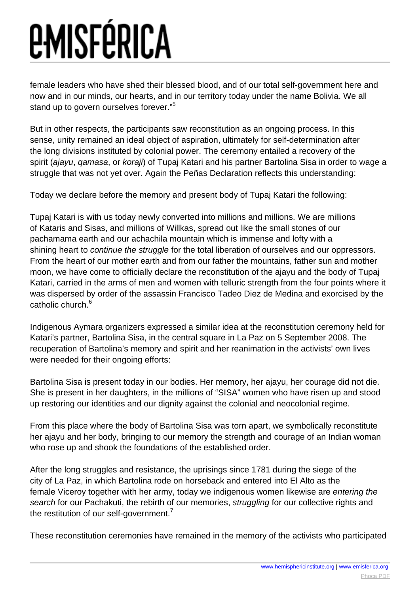female leaders who have shed their blessed blood, and of our total self-government here and now and in our minds, our hearts, and in our territory today under the name Bolivia. We all stand up to govern ourselves forever."<sup>5</sup>

But in other respects, the participants saw reconstitution as an ongoing process. In this sense, unity remained an ideal object of aspiration, ultimately for self-determination after the long divisions instituted by colonial power. The ceremony entailed a recovery of the spirit (ajayu, gamasa, or koraji) of Tupaj Katari and his partner Bartolina Sisa in order to wage a struggle that was not yet over. Again the Peñas Declaration reflects this understanding:

Today we declare before the memory and present body of Tupaj Katari the following:

Tupaj Katari is with us today newly converted into millions and millions. We are millions of Kataris and Sisas, and millions of Willkas, spread out like the small stones of our pachamama earth and our achachila mountain which is immense and lofty with a shining heart to *continue the struggle* for the total liberation of ourselves and our oppressors. From the heart of our mother earth and from our father the mountains, father sun and mother moon, we have come to officially declare the reconstitution of the ajayu and the body of Tupaj Katari, carried in the arms of men and women with telluric strength from the four points where it was dispersed by order of the assassin Francisco Tadeo Diez de Medina and exorcised by the catholic church <sup>6</sup>

Indigenous Aymara organizers expressed a similar idea at the reconstitution ceremony held for Katari's partner, Bartolina Sisa, in the central square in La Paz on 5 September 2008. The recuperation of Bartolina's memory and spirit and her reanimation in the activists' own lives were needed for their ongoing efforts:

Bartolina Sisa is present today in our bodies. Her memory, her ajayu, her courage did not die. She is present in her daughters, in the millions of "SISA" women who have risen up and stood up restoring our identities and our dignity against the colonial and neocolonial regime.

From this place where the body of Bartolina Sisa was torn apart, we symbolically reconstitute her ajayu and her body, bringing to our memory the strength and courage of an Indian woman who rose up and shook the foundations of the established order.

After the long struggles and resistance, the uprisings since 1781 during the siege of the city of La Paz, in which Bartolina rode on horseback and entered into El Alto as the female Viceroy together with her army, today we indigenous women likewise are entering the search for our Pachakuti, the rebirth of our memories, struggling for our collective rights and the restitution of our self-government.<sup>7</sup>

These reconstitution ceremonies have remained in the memory of the activists who participated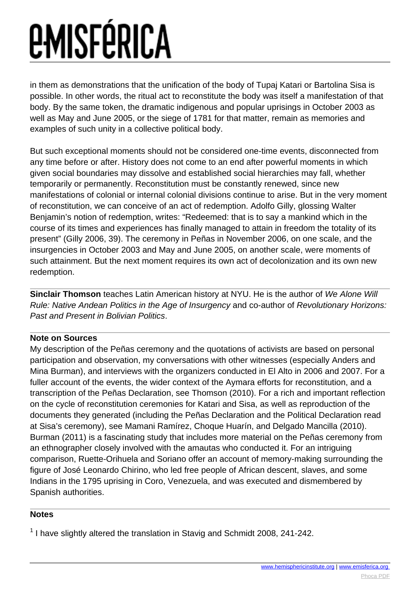in them as demonstrations that the unification of the body of Tupaj Katari or Bartolina Sisa is possible. In other words, the ritual act to reconstitute the body was itself a manifestation of that body. By the same token, the dramatic indigenous and popular uprisings in October 2003 as well as May and June 2005, or the siege of 1781 for that matter, remain as memories and examples of such unity in a collective political body.

But such exceptional moments should not be considered one-time events, disconnected from any time before or after. History does not come to an end after powerful moments in which given social boundaries may dissolve and established social hierarchies may fall, whether temporarily or permanently. Reconstitution must be constantly renewed, since new manifestations of colonial or internal colonial divisions continue to arise. But in the very moment of reconstitution, we can conceive of an act of redemption. Adolfo Gilly, glossing Walter Benjamin's notion of redemption, writes: "Redeemed: that is to say a mankind which in the course of its times and experiences has finally managed to attain in freedom the totality of its present" (Gilly 2006, 39). The ceremony in Peñas in November 2006, on one scale, and the insurgencies in October 2003 and May and June 2005, on another scale, were moments of such attainment. But the next moment requires its own act of decolonization and its own new redemption.

**Sinclair Thomson** teaches Latin American history at NYU. He is the author of We Alone Will Rule: Native Andean Politics in the Age of Insurgency and co-author of Revolutionary Horizons: Past and Present in Bolivian Politics.

#### **Note on Sources**

My description of the Peñas ceremony and the quotations of activists are based on personal participation and observation, my conversations with other witnesses (especially Anders and Mina Burman), and interviews with the organizers conducted in El Alto in 2006 and 2007. For a fuller account of the events, the wider context of the Aymara efforts for reconstitution, and a transcription of the Peñas Declaration, see Thomson (2010). For a rich and important reflection on the cycle of reconstitution ceremonies for Katari and Sisa, as well as reproduction of the documents they generated (including the Peñas Declaration and the Political Declaration read at Sisa's ceremony), see Mamani Ramírez, Choque Huarín, and Delgado Mancilla (2010). Burman (2011) is a fascinating study that includes more material on the Peñas ceremony from an ethnographer closely involved with the amautas who conducted it. For an intriguing comparison, Ruette-Orihuela and Soriano offer an account of memory-making surrounding the figure of José Leonardo Chirino, who led free people of African descent, slaves, and some Indians in the 1795 uprising in Coro, Venezuela, and was executed and dismembered by Spanish authorities.

#### **Notes**

 $1$  I have slightly altered the translation in Stavig and Schmidt 2008, 241-242.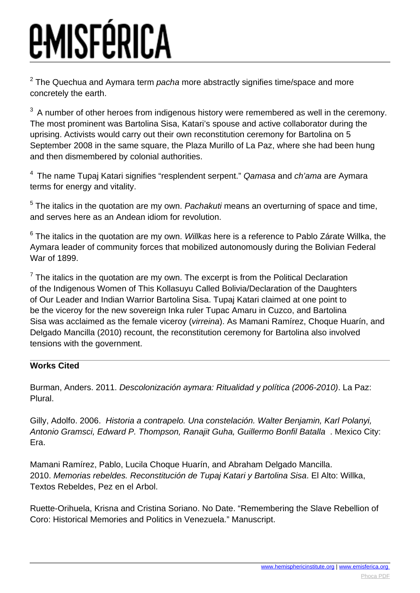$^{2}$  The Quechua and Aymara term *pacha* more abstractly signifies time/space and more concretely the earth.

 $3$  A number of other heroes from indigenous history were remembered as well in the ceremony. The most prominent was Bartolina Sisa, Katari's spouse and active collaborator during the uprising. Activists would carry out their own reconstitution ceremony for Bartolina on 5 September 2008 in the same square, the Plaza Murillo of La Paz, where she had been hung and then dismembered by colonial authorities.

 $4$  The name Tupaj Katari signifies "resplendent serpent." Qamasa and ch'ama are Aymara terms for energy and vitality.

 $5$  The italics in the quotation are my own. Pachakuti means an overturning of space and time, and serves here as an Andean idiom for revolution.

 $^6$  The italics in the quotation are my own. *Willkas* here is a reference to Pablo Zárate Willka, the Aymara leader of community forces that mobilized autonomously during the Bolivian Federal War of 1899.

 $<sup>7</sup>$  The italics in the quotation are my own. The excerpt is from the Political Declaration</sup> of the Indigenous Women of This Kollasuyu Called Bolivia/Declaration of the Daughters of Our Leader and Indian Warrior Bartolina Sisa. Tupaj Katari claimed at one point to be the viceroy for the new sovereign Inka ruler Tupac Amaru in Cuzco, and Bartolina Sisa was acclaimed as the female viceroy (virreina). As Mamani Ramírez, Choque Huarín, and Delgado Mancilla (2010) recount, the reconstitution ceremony for Bartolina also involved tensions with the government.

#### **Works Cited**

Burman, Anders. 2011. Descolonización aymara: Ritualidad y política (2006-2010). La Paz: Plural.

Gilly, Adolfo. 2006. Historia a contrapelo. Una constelación. Walter Benjamin, Karl Polanyi, Antonio Gramsci, Edward P. Thompson, Ranajit Guha, Guillermo Bonfil Batalla . Mexico City: Era.

Mamani Ramírez, Pablo, Lucila Choque Huarín, and Abraham Delgado Mancilla. 2010. Memorias rebeldes. Reconstitución de Tupaj Katari y Bartolina Sisa. El Alto: Willka, Textos Rebeldes, Pez en el Arbol.

Ruette-Orihuela, Krisna and Cristina Soriano. No Date. "Remembering the Slave Rebellion of Coro: Historical Memories and Politics in Venezuela." Manuscript.